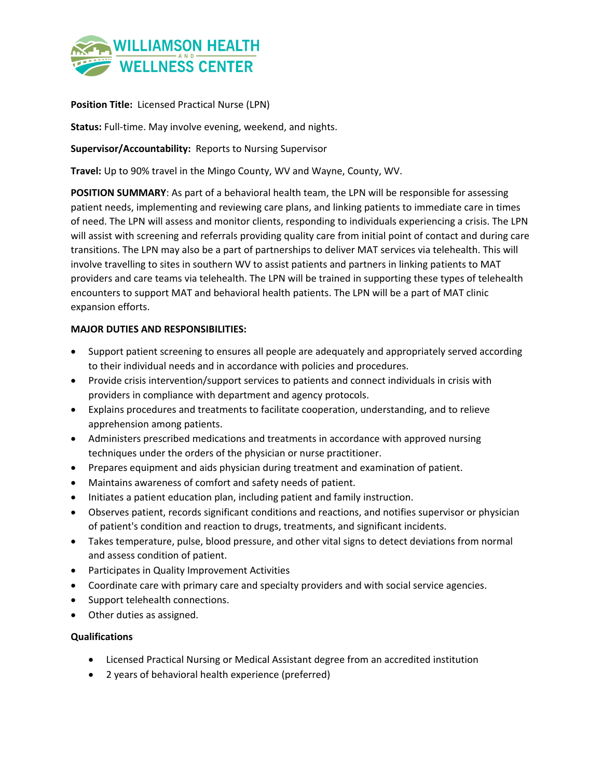

**Position Title:** Licensed Practical Nurse (LPN)

**Status:** Full-time. May involve evening, weekend, and nights.

**Supervisor/Accountability:** Reports to Nursing Supervisor

**Travel:** Up to 90% travel in the Mingo County, WV and Wayne, County, WV.

**POSITION SUMMARY**: As part of a behavioral health team, the LPN will be responsible for assessing patient needs, implementing and reviewing care plans, and linking patients to immediate care in times of need. The LPN will assess and monitor clients, responding to individuals experiencing a crisis. The LPN will assist with screening and referrals providing quality care from initial point of contact and during care transitions. The LPN may also be a part of partnerships to deliver MAT services via telehealth. This will involve travelling to sites in southern WV to assist patients and partners in linking patients to MAT providers and care teams via telehealth. The LPN will be trained in supporting these types of telehealth encounters to support MAT and behavioral health patients. The LPN will be a part of MAT clinic expansion efforts.

## **MAJOR DUTIES AND RESPONSIBILITIES:**

- Support patient screening to ensures all people are adequately and appropriately served according to their individual needs and in accordance with policies and procedures.
- Provide crisis intervention/support services to patients and connect individuals in crisis with providers in compliance with department and agency protocols.
- Explains procedures and treatments to facilitate cooperation, understanding, and to relieve apprehension among patients.
- Administers prescribed medications and treatments in accordance with approved nursing techniques under the orders of the physician or nurse practitioner.
- Prepares equipment and aids physician during treatment and examination of patient.
- Maintains awareness of comfort and safety needs of patient.
- Initiates a patient education plan, including patient and family instruction.
- Observes patient, records significant conditions and reactions, and notifies supervisor or physician of patient's condition and reaction to drugs, treatments, and significant incidents.
- Takes temperature, pulse, blood pressure, and other vital signs to detect deviations from normal and assess condition of patient.
- Participates in Quality Improvement Activities
- Coordinate care with primary care and specialty providers and with social service agencies.
- Support telehealth connections.
- Other duties as assigned.

## **Qualifications**

- Licensed Practical Nursing or Medical Assistant degree from an accredited institution
- 2 years of behavioral health experience (preferred)